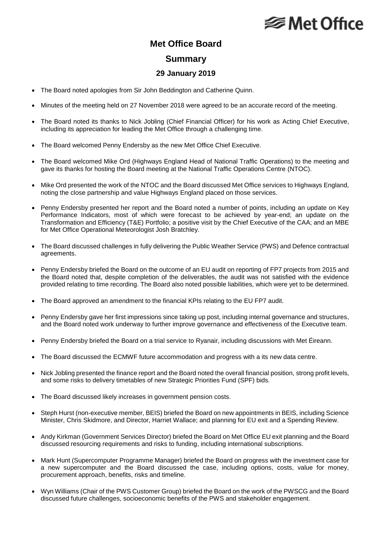## **⊗ Met Office**

### **Met Office Board**

#### **Summary**

#### **29 January 2019**

- The Board noted apologies from Sir John Beddington and Catherine Quinn.
- Minutes of the meeting held on 27 November 2018 were agreed to be an accurate record of the meeting.
- The Board noted its thanks to Nick Jobling (Chief Financial Officer) for his work as Acting Chief Executive, including its appreciation for leading the Met Office through a challenging time.
- The Board welcomed Penny Endersby as the new Met Office Chief Executive.
- The Board welcomed Mike Ord (Highways England Head of National Traffic Operations) to the meeting and gave its thanks for hosting the Board meeting at the National Traffic Operations Centre (NTOC).
- Mike Ord presented the work of the NTOC and the Board discussed Met Office services to Highways England, noting the close partnership and value Highways England placed on those services.
- Penny Endersby presented her report and the Board noted a number of points, including an update on Key Performance Indicators, most of which were forecast to be achieved by year-end; an update on the Transformation and Efficiency (T&E) Portfolio; a positive visit by the Chief Executive of the CAA; and an MBE for Met Office Operational Meteorologist Josh Bratchley.
- The Board discussed challenges in fully delivering the Public Weather Service (PWS) and Defence contractual agreements.
- Penny Endersby briefed the Board on the outcome of an EU audit on reporting of FP7 projects from 2015 and the Board noted that, despite completion of the deliverables, the audit was not satisfied with the evidence provided relating to time recording. The Board also noted possible liabilities, which were yet to be determined.
- The Board approved an amendment to the financial KPIs relating to the EU FP7 audit.
- Penny Endersby gave her first impressions since taking up post, including internal governance and structures, and the Board noted work underway to further improve governance and effectiveness of the Executive team.
- Penny Endersby briefed the Board on a trial service to Ryanair, including discussions with Met Éireann.
- The Board discussed the ECMWF future accommodation and progress with a its new data centre.
- Nick Jobling presented the finance report and the Board noted the overall financial position, strong profit levels, and some risks to delivery timetables of new Strategic Priorities Fund (SPF) bids.
- The Board discussed likely increases in government pension costs.
- Steph Hurst (non-executive member, BEIS) briefed the Board on new appointments in BEIS, including Science Minister, Chris Skidmore, and Director, Harriet Wallace; and planning for EU exit and a Spending Review.
- Andy Kirkman (Government Services Director) briefed the Board on Met Office EU exit planning and the Board discussed resourcing requirements and risks to funding, including international subscriptions.
- Mark Hunt (Supercomputer Programme Manager) briefed the Board on progress with the investment case for a new supercomputer and the Board discussed the case, including options, costs, value for money, procurement approach, benefits, risks and timeline.
- Wyn Williams (Chair of the PWS Customer Group) briefed the Board on the work of the PWSCG and the Board discussed future challenges, socioeconomic benefits of the PWS and stakeholder engagement.